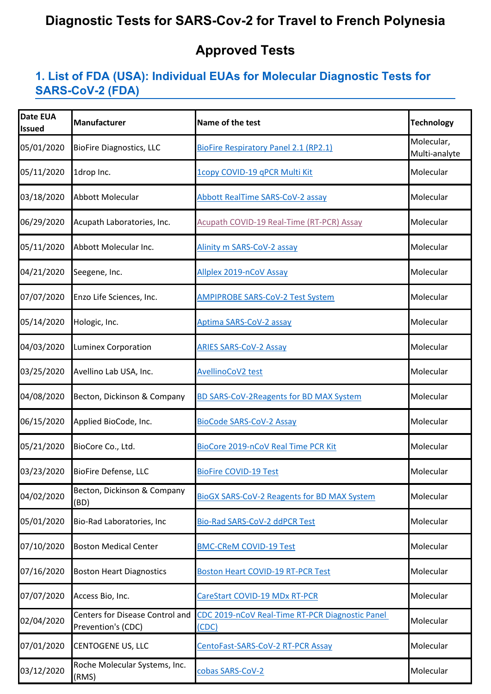# **Diagnostic Tests for SARS-Cov-2 for Travel to French Polynesia**

## **Approved Tests**

#### **1. List of FDA (USA): Individual EUAs for Molecular Diagnostic Tests for [SARS-C](https://www.fda.gov/medical-devices/coronavirus-disease-2019-covid-19-emergency-use-authorizations-medical-devices/vitro-diagnostics-euas#individual-molecular)oV-2 (FDA)**

| <b>Date EUA</b><br><b>Issued</b> | <b>Manufacturer</b>                                          | Name of the test                                         | <b>Technology</b>           |
|----------------------------------|--------------------------------------------------------------|----------------------------------------------------------|-----------------------------|
| 05/01/2020                       | <b>BioFire Diagnostics, LLC</b>                              | <b>BioFire Respiratory Panel 2.1 (RP2.1)</b>             | Molecular,<br>Multi-analyte |
| 05/11/2020                       | 1drop Inc.                                                   | 1copy COVID-19 qPCR Multi Kit                            | Molecular                   |
| 03/18/2020                       | Abbott Molecular                                             | <b>Abbott RealTime SARS-CoV-2 assay</b>                  | Molecular                   |
| 06/29/2020                       | Acupath Laboratories, Inc.                                   | Acupath COVID-19 Real-Time (RT-PCR) Assay                | Molecular                   |
| 05/11/2020                       | Abbott Molecular Inc.                                        | Alinity m SARS-CoV-2 assay                               | Molecular                   |
| 04/21/2020                       | Seegene, Inc.                                                | Allplex 2019-nCoV Assay                                  | Molecular                   |
| 07/07/2020                       | Enzo Life Sciences, Inc.                                     | <b>AMPIPROBE SARS-CoV-2 Test System</b>                  | Molecular                   |
| 05/14/2020                       | Hologic, Inc.                                                | Aptima SARS-CoV-2 assay                                  | Molecular                   |
| 04/03/2020                       | <b>Luminex Corporation</b>                                   | <b>ARIES SARS-CoV-2 Assay</b>                            | Molecular                   |
| 03/25/2020                       | Avellino Lab USA, Inc.                                       | <b>AvellinoCoV2 test</b>                                 | Molecular                   |
| 04/08/2020                       | Becton, Dickinson & Company                                  | BD SARS-CoV-2Reagents for BD MAX System                  | Molecular                   |
| 06/15/2020                       | Applied BioCode, Inc.                                        | <b>BioCode SARS-CoV-2 Assay</b>                          | Molecular                   |
| 05/21/2020                       | BioCore Co., Ltd.                                            | BioCore 2019-nCoV Real Time PCR Kit                      | Molecular                   |
| 03/23/2020                       | <b>BioFire Defense, LLC</b>                                  | <b>BioFire COVID-19 Test</b>                             | Molecular                   |
| 04/02/2020                       | Becton, Dickinson & Company<br>(BD)                          | <b>BioGX SARS-CoV-2 Reagents for BD MAX System</b>       | Molecular                   |
| 05/01/2020                       | Bio-Rad Laboratories, Inc                                    | Bio-Rad SARS-CoV-2 ddPCR Test                            | Molecular                   |
| 07/10/2020                       | <b>Boston Medical Center</b>                                 | <b>BMC-CReM COVID-19 Test</b>                            | Molecular                   |
| 07/16/2020                       | <b>Boston Heart Diagnostics</b>                              | <b>Boston Heart COVID-19 RT-PCR Test</b>                 | Molecular                   |
| 07/07/2020                       | Access Bio, Inc.                                             | CareStart COVID-19 MDx RT-PCR                            | Molecular                   |
| 02/04/2020                       | <b>Centers for Disease Control and</b><br>Prevention's (CDC) | CDC 2019-nCoV Real-Time RT-PCR Diagnostic Panel<br>(CDC) | Molecular                   |
| 07/01/2020                       | <b>CENTOGENE US, LLC</b>                                     | CentoFast-SARS-CoV-2 RT-PCR Assay                        | Molecular                   |
| 03/12/2020                       | Roche Molecular Systems, Inc.<br>(RMS)                       | cobas SARS-CoV-2                                         | Molecular                   |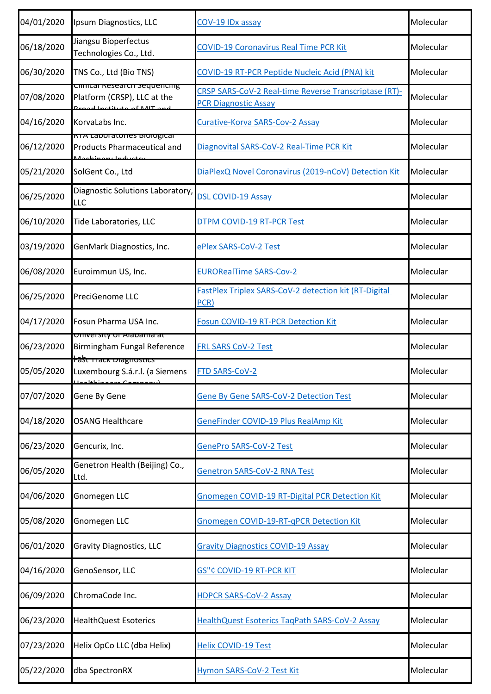| 04/01/2020 | Ipsum Diagnostics, LLC                                                                     | COV-19 IDx assay                                                                     | Molecular |
|------------|--------------------------------------------------------------------------------------------|--------------------------------------------------------------------------------------|-----------|
| 06/18/2020 | Jiangsu Bioperfectus<br>Technologies Co., Ltd.                                             | <b>COVID-19 Coronavirus Real Time PCR Kit</b>                                        | Molecular |
| 06/30/2020 | TNS Co., Ltd (Bio TNS)                                                                     | COVID-19 RT-PCR Peptide Nucleic Acid (PNA) kit                                       | Molecular |
| 07/08/2020 | Cilincal Nesearch Sequencing<br>Platform (CRSP), LLC at the<br>كاله فالمدم مطبيط نطوعيلياء | CRSP SARS-CoV-2 Real-time Reverse Transcriptase (RT)-<br><b>PCR Diagnostic Assay</b> | Molecular |
| 04/16/2020 | KorvaLabs Inc.                                                                             | Curative-Korva SARS-Cov-2 Assay                                                      | Molecular |
| 06/12/2020 | <u>NTA Laboratories biological</u><br><b>Products Pharmaceutical and</b>                   | Diagnovital SARS-CoV-2 Real-Time PCR Kit                                             | Molecular |
| 05/21/2020 | SolGent Co., Ltd                                                                           | DiaPlexQ Novel Coronavirus (2019-nCoV) Detection Kit                                 | Molecular |
| 06/25/2020 | Diagnostic Solutions Laboratory,<br>LLC                                                    | <b>DSL COVID-19 Assay</b>                                                            | Molecular |
| 06/10/2020 | Tide Laboratories, LLC                                                                     | <b>DTPM COVID-19 RT-PCR Test</b>                                                     | Molecular |
| 03/19/2020 | GenMark Diagnostics, Inc.                                                                  | ePlex SARS-CoV-2 Test                                                                | Molecular |
| 06/08/2020 | Euroimmun US, Inc.                                                                         | <b>EURORealTime SARS-Cov-2</b>                                                       | Molecular |
| 06/25/2020 | PreciGenome LLC                                                                            | FastPlex Triplex SARS-CoV-2 detection kit (RT-Digital<br>PCR)                        | Molecular |
| 04/17/2020 | Fosun Pharma USA Inc.                                                                      | Fosun COVID-19 RT-PCR Detection Kit                                                  | Molecular |
| 06/23/2020 | <u>University Ur Alabama at</u><br>Birmingham Fungal Reference                             | <b>FRL SARS CoV-2 Test</b>                                                           | Molecular |
| 05/05/2020 | Hast mack Diagnostics<br>Luxembourg S.á.r.l. (a Siemens<br>مممنطعلمملل                     | FTD SARS-CoV-2                                                                       | Molecular |
| 07/07/2020 | Gene By Gene                                                                               | Gene By Gene SARS-CoV-2 Detection Test                                               | Molecular |
| 04/18/2020 | <b>OSANG Healthcare</b>                                                                    | GeneFinder COVID-19 Plus RealAmp Kit                                                 | Molecular |
| 06/23/2020 | Gencurix, Inc.                                                                             | <b>GenePro SARS-CoV-2 Test</b>                                                       | Molecular |
| 06/05/2020 | Genetron Health (Beijing) Co.,<br>Ltd.                                                     | <b>Genetron SARS-CoV-2 RNA Test</b>                                                  | Molecular |
| 04/06/2020 | Gnomegen LLC                                                                               | Gnomegen COVID-19 RT-Digital PCR Detection Kit                                       | Molecular |
| 05/08/2020 | <b>Gnomegen LLC</b>                                                                        | Gnomegen COVID-19-RT-qPCR Detection Kit                                              | Molecular |
| 06/01/2020 | <b>Gravity Diagnostics, LLC</b>                                                            | <b>Gravity Diagnostics COVID-19 Assay</b>                                            | Molecular |
| 04/16/2020 | GenoSensor, LLC                                                                            | <b>GS"¢ COVID-19 RT-PCR KIT</b>                                                      | Molecular |
| 06/09/2020 | ChromaCode Inc.                                                                            | <b>HDPCR SARS-CoV-2 Assay</b>                                                        | Molecular |
| 06/23/2020 | <b>HealthQuest Esoterics</b>                                                               | HealthQuest Esoterics TagPath SARS-CoV-2 Assay                                       | Molecular |
| 07/23/2020 | Helix OpCo LLC (dba Helix)                                                                 | <b>Helix COVID-19 Test</b>                                                           | Molecular |
| 05/22/2020 | dba SpectronRX                                                                             | Hymon SARS-CoV-2 Test Kit                                                            | Molecular |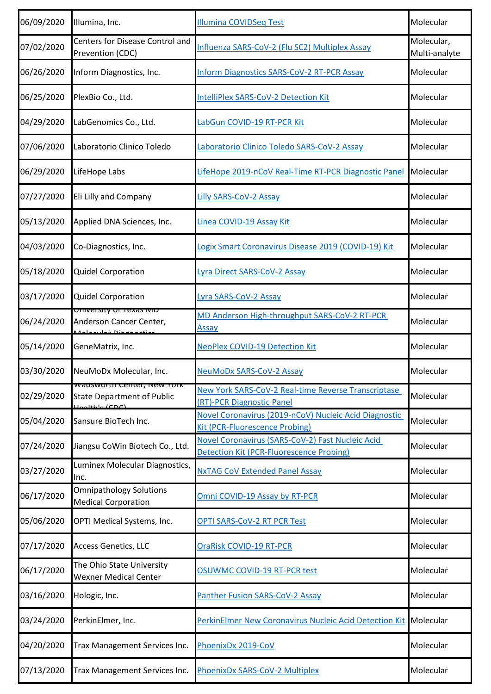| 06/09/2020 | Illumina, Inc.                                                                   | <b>Illumina COVIDSeq Test</b>                                                                       | Molecular                   |
|------------|----------------------------------------------------------------------------------|-----------------------------------------------------------------------------------------------------|-----------------------------|
| 07/02/2020 | Centers for Disease Control and<br>Prevention (CDC)                              | Influenza SARS-CoV-2 (Flu SC2) Multiplex Assay                                                      | Molecular,<br>Multi-analyte |
| 06/26/2020 | Inform Diagnostics, Inc.                                                         | <b>Inform Diagnostics SARS-CoV-2 RT-PCR Assay</b>                                                   | Molecular                   |
| 06/25/2020 | PlexBio Co., Ltd.                                                                | <b>IntelliPlex SARS-CoV-2 Detection Kit</b>                                                         | Molecular                   |
| 04/29/2020 | LabGenomics Co., Ltd.                                                            | LabGun COVID-19 RT-PCR Kit                                                                          | Molecular                   |
| 07/06/2020 | Laboratorio Clinico Toledo                                                       | Laboratorio Clinico Toledo SARS-CoV-2 Assay                                                         | Molecular                   |
| 06/29/2020 | LifeHope Labs                                                                    | LifeHope 2019-nCoV Real-Time RT-PCR Diagnostic Panel                                                | Molecular                   |
| 07/27/2020 | Eli Lilly and Company                                                            | Lilly SARS-CoV-2 Assay                                                                              | Molecular                   |
| 05/13/2020 | Applied DNA Sciences, Inc.                                                       | Linea COVID-19 Assay Kit                                                                            | Molecular                   |
| 04/03/2020 | Co-Diagnostics, Inc.                                                             | Logix Smart Coronavirus Disease 2019 (COVID-19) Kit                                                 | Molecular                   |
| 05/18/2020 | <b>Quidel Corporation</b>                                                        | Lyra Direct SARS-CoV-2 Assay                                                                        | Molecular                   |
| 03/17/2020 | <b>Quidel Corporation</b>                                                        | Lyra SARS-CoV-2 Assay                                                                               | Molecular                   |
| 06/24/2020 | <u> טוווערו אוי וויט אווויט</u><br>Anderson Cancer Center,                       | MD Anderson High-throughput SARS-CoV-2 RT-PCR<br>Assay                                              | Molecular                   |
| 05/14/2020 | GeneMatrix, Inc.                                                                 | <b>NeoPlex COVID-19 Detection Kit</b>                                                               | Molecular                   |
| 03/30/2020 | NeuMoDx Molecular, Inc.                                                          | <b>NeuMoDx SARS-CoV-2 Assay</b>                                                                     | Molecular                   |
| 02/29/2020 | wauswurth Center, New TUIN<br><b>State Department of Public</b><br>alabaha (CDC) | New York SARS-CoV-2 Real-time Reverse Transcriptase<br>(RT)-PCR Diagnostic Panel                    | Molecular                   |
| 05/04/2020 | Sansure BioTech Inc.                                                             | Novel Coronavirus (2019-nCoV) Nucleic Acid Diagnostic<br><b>Kit (PCR-Fluorescence Probing)</b>      | Molecular                   |
| 07/24/2020 | Jiangsu CoWin Biotech Co., Ltd.                                                  | Novel Coronavirus (SARS-CoV-2) Fast Nucleic Acid<br><b>Detection Kit (PCR-Fluorescence Probing)</b> | Molecular                   |
| 03/27/2020 | Luminex Molecular Diagnostics,<br>Inc.                                           | <b>NxTAG CoV Extended Panel Assay</b>                                                               | Molecular                   |
| 06/17/2020 | <b>Omnipathology Solutions</b><br><b>Medical Corporation</b>                     | Omni COVID-19 Assay by RT-PCR                                                                       | Molecular                   |
| 05/06/2020 | OPTI Medical Systems, Inc.                                                       | <b>OPTI SARS-CoV-2 RT PCR Test</b>                                                                  | Molecular                   |
| 07/17/2020 | <b>Access Genetics, LLC</b>                                                      | <b>OraRisk COVID-19 RT-PCR</b>                                                                      | Molecular                   |
| 06/17/2020 | The Ohio State University<br><b>Wexner Medical Center</b>                        | <b>OSUWMC COVID-19 RT-PCR test</b>                                                                  | Molecular                   |
| 03/16/2020 | Hologic, Inc.                                                                    | Panther Fusion SARS-CoV-2 Assay                                                                     | Molecular                   |
| 03/24/2020 | PerkinElmer, Inc.                                                                | PerkinElmer New Coronavirus Nucleic Acid Detection Kit Molecular                                    |                             |
| 04/20/2020 | Trax Management Services Inc.                                                    | PhoenixDx 2019-CoV                                                                                  | Molecular                   |
| 07/13/2020 | Trax Management Services Inc.                                                    | PhoenixDx SARS-CoV-2 Multiplex                                                                      | Molecular                   |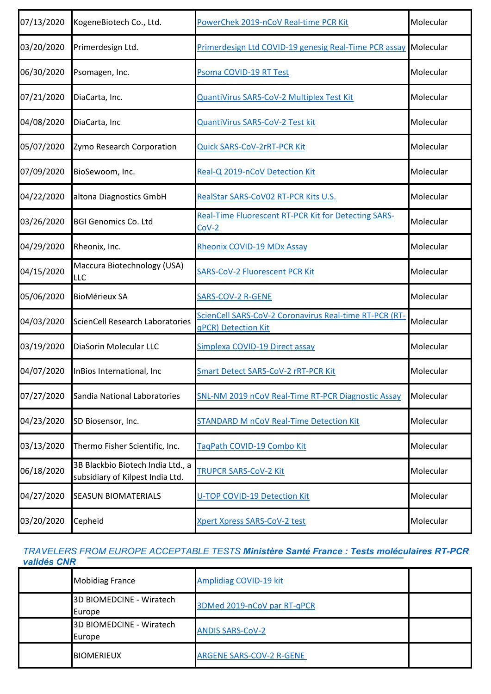| 07/13/2020 | KogeneBiotech Co., Ltd.                                               | PowerChek 2019-nCoV Real-time PCR Kit                                         | Molecular |
|------------|-----------------------------------------------------------------------|-------------------------------------------------------------------------------|-----------|
| 03/20/2020 | Primerdesign Ltd.                                                     | Primerdesign Ltd COVID-19 genesig Real-Time PCR assay                         | Molecular |
| 06/30/2020 | Psomagen, Inc.                                                        | Psoma COVID-19 RT Test                                                        | Molecular |
| 07/21/2020 | DiaCarta, Inc.                                                        | QuantiVirus SARS-CoV-2 Multiplex Test Kit                                     | Molecular |
| 04/08/2020 | DiaCarta, Inc                                                         | QuantiVirus SARS-CoV-2 Test kit                                               | Molecular |
| 05/07/2020 | Zymo Research Corporation                                             | Quick SARS-CoV-2rRT-PCR Kit                                                   | Molecular |
| 07/09/2020 | BioSewoom, Inc.                                                       | Real-Q 2019-nCoV Detection Kit                                                | Molecular |
| 04/22/2020 | altona Diagnostics GmbH                                               | RealStar SARS-CoV02 RT-PCR Kits U.S.                                          | Molecular |
| 03/26/2020 | <b>BGI Genomics Co. Ltd</b>                                           | <b>Real-Time Fluorescent RT-PCR Kit for Detecting SARS-</b><br>$Cov-2$        | Molecular |
| 04/29/2020 | Rheonix, Inc.                                                         | <b>Rheonix COVID-19 MDx Assay</b>                                             | Molecular |
| 04/15/2020 | Maccura Biotechnology (USA)<br>LLC                                    | <b>SARS-CoV-2 Fluorescent PCR Kit</b>                                         | Molecular |
| 05/06/2020 | <b>BioMérieux SA</b>                                                  | <b>SARS-COV-2 R-GENE</b>                                                      | Molecular |
| 04/03/2020 | <b>ScienCell Research Laboratories</b>                                | ScienCell SARS-CoV-2 Coronavirus Real-time RT-PCR (RT-<br>qPCR) Detection Kit | Molecular |
| 03/19/2020 | DiaSorin Molecular LLC                                                | Simplexa COVID-19 Direct assay                                                | Molecular |
| 04/07/2020 | InBios International, Inc                                             | <b>Smart Detect SARS-CoV-2 rRT-PCR Kit</b>                                    | Molecular |
| 07/27/2020 | Sandia National Laboratories                                          | SNL-NM 2019 nCoV Real-Time RT-PCR Diagnostic Assay                            | Molecular |
| 04/23/2020 | SD Biosensor, Inc.                                                    | <b>STANDARD M nCoV Real-Time Detection Kit</b>                                | Molecular |
| 03/13/2020 | Thermo Fisher Scientific, Inc.                                        | TaqPath COVID-19 Combo Kit                                                    | Molecular |
| 06/18/2020 | 3B Blackbio Biotech India Ltd., a<br>subsidiary of Kilpest India Ltd. | TRUPCR SARS-CoV-2 Kit                                                         | Molecular |
| 04/27/2020 | <b>SEASUN BIOMATERIALS</b>                                            | U-TOP COVID-19 Detection Kit                                                  | Molecular |
| 03/20/2020 | Cepheid                                                               | <b>Xpert Xpress SARS-CoV-2 test</b>                                           | Molecular |

#### *TRAVELERS FROM EUROPE ACCEPTABLE TESTS Ministère Santé France : Tests moléculaires RT-PCR validés CNR*

| <b>Mobidiag France</b>             | Amplidiag COVID-19 kit          |  |
|------------------------------------|---------------------------------|--|
| 3D BIOMEDCINE - Wiratech<br>Europe | 3DMed 2019-nCoV par RT-qPCR     |  |
| 3D BIOMEDCINE - Wiratech<br>Europe | <b>ANDIS SARS-COV-2</b>         |  |
| <b>BIOMERIEUX</b>                  | <b>ARGENE SARS-COV-2 R-GENE</b> |  |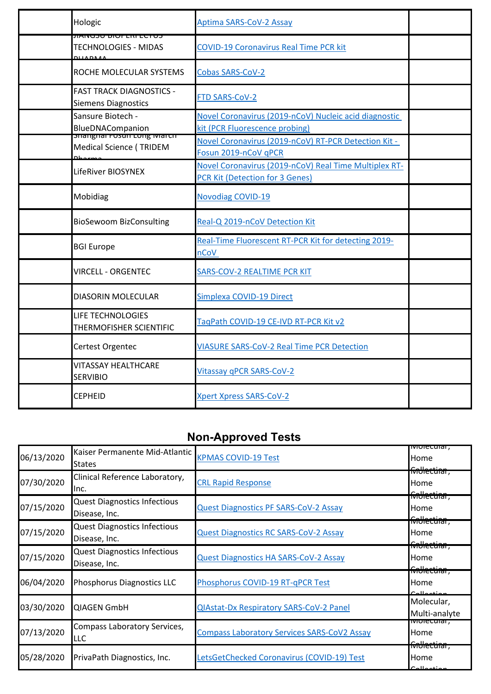| Hologic                                                                | <b>Aptima SARS-CoV-2 Assay</b>                                                                  |  |
|------------------------------------------------------------------------|-------------------------------------------------------------------------------------------------|--|
| JIAWOOU DIUFENTEU UO<br>TECHNOLOGIES - MIDAS<br><b>DUADMA</b>          | <b>COVID-19 Coronavirus Real Time PCR kit</b>                                                   |  |
| ROCHE MOLECULAR SYSTEMS                                                | Cobas SARS-CoV-2                                                                                |  |
| <b>FAST TRACK DIAGNOSTICS -</b><br><b>Siemens Diagnostics</b>          | FTD SARS-CoV-2                                                                                  |  |
| Sansure Biotech -<br>BlueDNACompanion                                  | Novel Coronavirus (2019-nCoV) Nucleic acid diagnostic<br>kit (PCR Fluorescence probing)         |  |
| <del>Shanghar rosun Long March</del><br><b>Medical Science (TRIDEM</b> | Novel Coronavirus (2019-nCoV) RT-PCR Detection Kit -<br>Fosun 2019-nCoV qPCR                    |  |
| LifeRiver BIOSYNEX                                                     | Novel Coronavirus (2019-nCoV) Real Time Multiplex RT-<br><b>PCR Kit (Detection for 3 Genes)</b> |  |
| Mobidiag                                                               | <b>Novodiag COVID-19</b>                                                                        |  |
| <b>BioSewoom BizConsulting</b>                                         | Real-Q 2019-nCoV Detection Kit                                                                  |  |
| <b>BGI Europe</b>                                                      | Real-Time Fluorescent RT-PCR Kit for detecting 2019-<br>nCoV                                    |  |
| <b>VIRCELL - ORGENTEC</b>                                              | SARS-COV-2 REALTIME PCR KIT                                                                     |  |
| DIASORIN MOLECULAR                                                     | Simplexa COVID-19 Direct                                                                        |  |
| <b>LIFE TECHNOLOGIES</b><br>THERMOFISHER SCIENTIFIC                    | TaqPath COVID-19 CE-IVD RT-PCR Kit v2                                                           |  |
| Certest Orgentec                                                       | <b>VIASURE SARS-CoV-2 Real Time PCR Detection</b>                                               |  |
| <b>VITASSAY HEALTHCARE</b><br><b>SERVIBIO</b>                          | Vitassay qPCR SARS-CoV-2                                                                        |  |
| <b>CEPHEID</b>                                                         | <b>Xpert Xpress SARS-CoV-2</b>                                                                  |  |

# **Non-Approved Tests**

| 06/13/2020 | Kaiser Permanente Mid-Atlantic<br><b>States</b>      | <b>KPMAS COVID-19 Test</b>                         | ivioieculai,<br>Home                    |
|------------|------------------------------------------------------|----------------------------------------------------|-----------------------------------------|
| 07/30/2020 | Clinical Reference Laboratory,<br>Inc.               | <b>CRL Rapid Response</b>                          | foblection,<br>Home<br>findlectinn,     |
| 07/15/2020 | <b>Quest Diagnostics Infectious</b><br>Disease, Inc. | <b>Quest Diagnostics PF SARS-CoV-2 Assay</b>       | Home                                    |
| 07/15/2020 | <b>Quest Diagnostics Infectious</b><br>Disease, Inc. | <b>Quest Diagnostics RC SARS-CoV-2 Assay</b>       | forthecting,<br>Home                    |
| 07/15/2020 | <b>Quest Diagnostics Infectious</b><br>Disease, Inc. | <b>Quest Diagnostics HA SARS-CoV-2 Assay</b>       | foblectinn,<br>Home                     |
| 06/04/2020 | Phosphorus Diagnostics LLC                           | Phosphorus COVID-19 RT-qPCR Test                   | foblectinn,<br>Home                     |
| 03/30/2020 | <b>QIAGEN GmbH</b>                                   | <b>QIAstat-Dx Respiratory SARS-CoV-2 Panel</b>     | Molecular,<br>Multi-analyte             |
| 07/13/2020 | Compass Laboratory Services,<br>LLC                  | <b>Compass Laboratory Services SARS-CoV2 Assay</b> | iviolecular,<br>Home                    |
| 05/28/2020 | PrivaPath Diagnostics, Inc.                          | LetsGetChecked Coronavirus (COVID-19) Test         | findlectinn,<br>Home<br>C <sub>11</sub> |